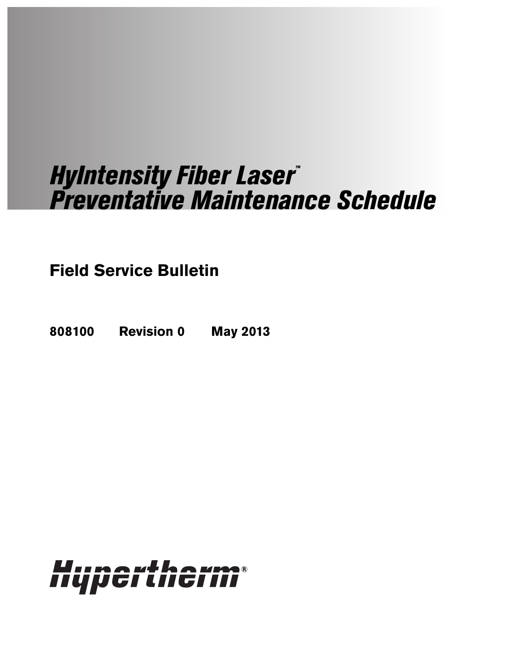# HyIntensity Fiber Laser™ Preventative Maintenance Schedule

**Field Service Bulletin**

**808100 Revision 0 May 2013**

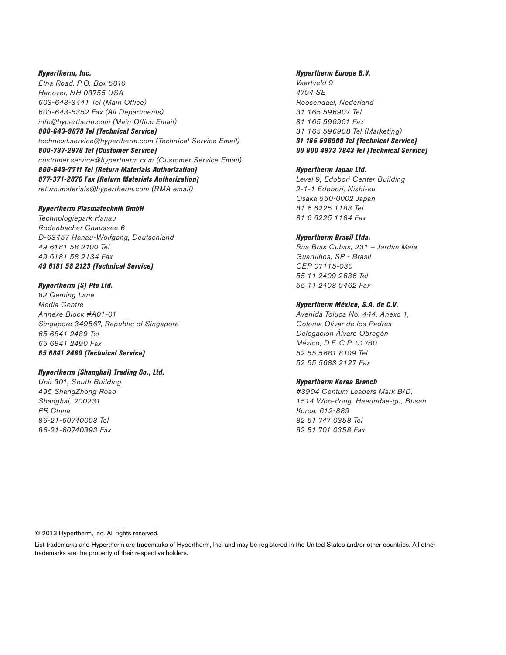Hypertherm, Inc. Etna Road, P.O. Box 5010 Hanover, NH 03755 USA 603-643-3441 Tel (Main Office) 603-643-5352 Fax (All Departments) info@hypertherm.com (Main Office Email) 800-643-9878 Tel (Technical Service)

technical.service@hypertherm.com (Technical Service Email) 800-737-2978 Tel (Customer Service) customer.service@hypertherm.com (Customer Service Email) 866-643-7711 Tel (Return Materials Authorization) 877-371-2876 Fax (Return Materials Authorization) return.materials@hypertherm.com (RMA email)

#### Hypertherm Plasmatechnik GmbH

Technologiepark Hanau Rodenbacher Chaussee 6 D-63457 Hanau-Wolfgang, Deutschland 49 6181 58 2100 Tel 49 6181 58 2134 Fax 49 6181 58 2123 (Technical Service)

### Hypertherm (S) Pte Ltd.

82 Genting Lane Media Centre Annexe Block #A01-01 Singapore 349567, Republic of Singapore 65 6841 2489 Tel 65 6841 2490 Fax 65 6841 2489 (Technical Service)

#### Hypertherm (Shanghai) Trading Co., Ltd.

Unit 301, South Building 495 ShangZhong Road Shanghai, 200231 PR China 86-21-60740003 Tel 86-21-60740393 Fax

## Hypertherm Europe B.V.

Vaartveld 9 4704 SE Roosendaal, Nederland 31 165 596907 Tel 31 165 596901 Fax 31 165 596908 Tel (Marketing) 31 165 596900 Tel (Technical Service) 00 800 4973 7843 Tel (Technical Service)

#### Hypertherm Japan Ltd.

Level 9, Edobori Center Building 2-1-1 Edobori, Nishi-ku Osaka 550-0002 Japan 81 6 6225 1183 Tel 81 6 6225 1184 Fax

#### Hypertherm Brasil Ltda.

Rua Bras Cubas, 231 – Jardim Maia Guarulhos, SP - Brasil CEP 07115-030 55 11 2409 2636 Tel 55 11 2408 0462 Fax

## Hypertherm México, S.A. de C.V.

Avenida Toluca No. 444, Anexo 1, Colonia Olivar de los Padres Delegación Álvaro Obregón México, D.F. C.P. 01780 52 55 5681 8109 Tel 52 55 5683 2127 Fax

#### Hypertherm Korea Branch

#3904 Centum Leaders Mark B/D, 1514 Woo-dong, Haeundae-gu, Busan Korea, 612-889 82 51 747 0358 Tel 82 51 701 0358 Fax

© 2013 Hypertherm, Inc. All rights reserved.

List trademarks and Hypertherm are trademarks of Hypertherm, Inc. and may be registered in the United States and/or other countries. All other trademarks are the property of their respective holders.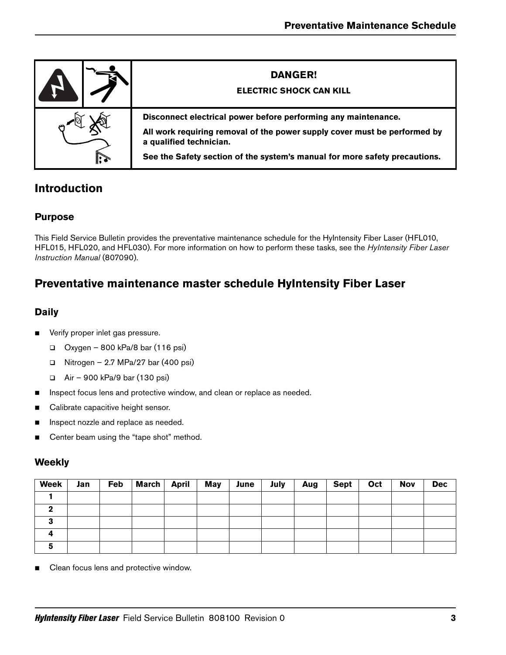|              | <b>DANGER!</b><br><b>ELECTRIC SHOCK CAN KILL</b>                                                                                                                                                                                                     |
|--------------|------------------------------------------------------------------------------------------------------------------------------------------------------------------------------------------------------------------------------------------------------|
| $\mathbb{R}$ | Disconnect electrical power before performing any maintenance.<br>All work requiring removal of the power supply cover must be performed by<br>a qualified technician.<br>See the Safety section of the system's manual for more safety precautions. |

# **Introduction**

## **Purpose**

This Field Service Bulletin provides the preventative maintenance schedule for the HyIntensity Fiber Laser (HFL010, HFL015, HFL020, and HFL030). For more information on how to perform these tasks, see the HyIntensity Fiber Laser Instruction Manual (807090).

# **Preventative maintenance master schedule HyIntensity Fiber Laser**

## **Daily**

- **verify proper inlet gas pressure.** 
	- $\Box$  Oxygen 800 kPa/8 bar (116 psi)
	- $\Box$  Nitrogen 2.7 MPa/27 bar (400 psi)
	- Air 900 kPa/9 bar (130 psi)
- Inspect focus lens and protective window, and clean or replace as needed.
- Calibrate capacitive height sensor.
- **Inspect nozzle and replace as needed.**
- Center beam using the "tape shot" method.

## **Weekly**

| <b>Week</b> | Jan | Feb | March April | May | June | July | Aug | Sept | Oct | <b>Nov</b> | <b>Dec</b> |
|-------------|-----|-----|-------------|-----|------|------|-----|------|-----|------------|------------|
|             |     |     |             |     |      |      |     |      |     |            |            |
|             |     |     |             |     |      |      |     |      |     |            |            |
|             |     |     |             |     |      |      |     |      |     |            |            |
|             |     |     |             |     |      |      |     |      |     |            |            |
|             |     |     |             |     |      |      |     |      |     |            |            |

■ Clean focus lens and protective window.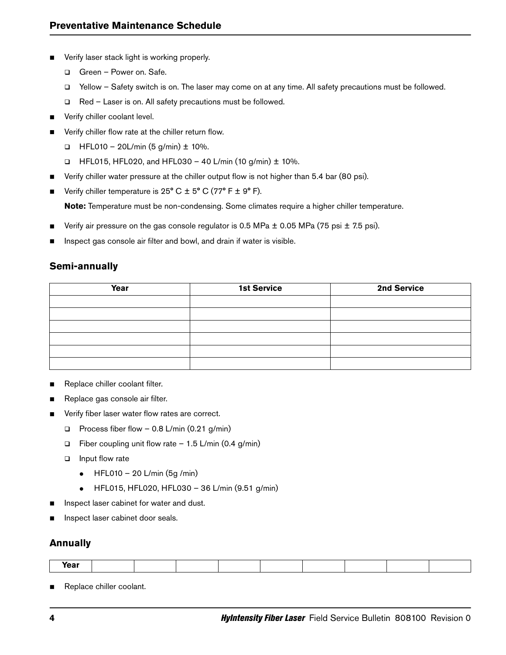- **U Verify laser stack light is working properly.** 
	- Green Power on. Safe.
	- Yellow Safety switch is on. The laser may come on at any time. All safety precautions must be followed.
	- □ Red Laser is on. All safety precautions must be followed.
- **verify chiller coolant level.**
- **••** Verify chiller flow rate at the chiller return flow.
	- $\Box$  HFL010 20L/min (5 g/min)  $\pm$  10%.
	- $\Box$  HFL015, HFL020, and HFL030 40 L/min (10 g/min)  $\pm$  10%.
- **•** Verify chiller water pressure at the chiller output flow is not higher than 5.4 bar (80 psi).
- Verify chiller temperature is  $25^{\circ}$  C  $\pm$  5° C (77° F  $\pm$  9° F).

**Note:** Temperature must be non-condensing. Some climates require a higher chiller temperature.

- Verify air pressure on the gas console regulator is 0.5 MPa  $\pm$  0.05 MPa (75 psi  $\pm$  7.5 psi).
- **Inspect gas console air filter and bowl, and drain if water is visible.**

## **Semi-annually**

| Year | <b>1st Service</b> | 2nd Service |
|------|--------------------|-------------|
|      |                    |             |
|      |                    |             |
|      |                    |             |
|      |                    |             |
|      |                    |             |
|      |                    |             |

- Replace chiller coolant filter.
- Replace gas console air filter.
- $\blacksquare$  Verify fiber laser water flow rates are correct.
	- Process fiber flow  $-$  0.8 L/min (0.21 g/min)
	- $\Box$  Fiber coupling unit flow rate 1.5 L/min (0.4 g/min)
	- $\Box$  Input flow rate
		- $\bullet$  HFL010 20 L/min (5g /min)
		- HFL015, HFL020, HFL030 36 L/min (9.51 g/min)
- Inspect laser cabinet for water and dust.
- **Inspect laser cabinet door seals.**

## **Annually**

| Year |  |  |  |  |  |
|------|--|--|--|--|--|
|      |  |  |  |  |  |

Replace chiller coolant.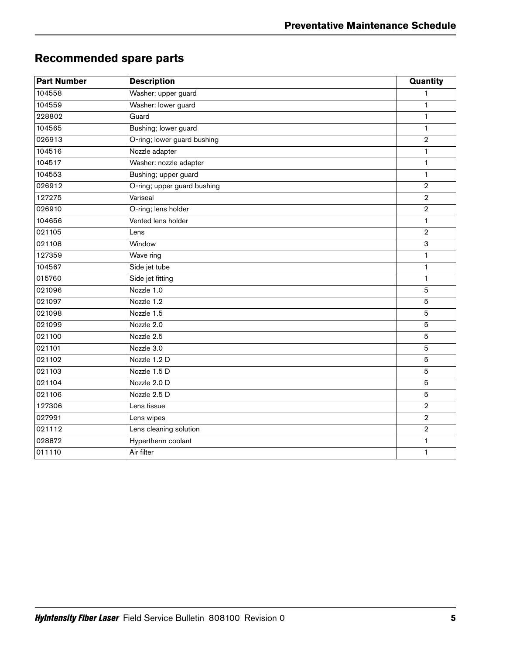# <span id="page-4-0"></span>**Recommended spare parts**

| <b>Part Number</b> | <b>Description</b>          | Quantity       |
|--------------------|-----------------------------|----------------|
| 104558             | Washer: upper guard         | 1              |
| 104559             | Washer: lower guard         | $\mathbf{1}$   |
| 228802             | Guard                       | $\mathbf{1}$   |
| 104565             | Bushing; lower guard        | $\mathbf{1}$   |
| 026913             | O-ring; lower guard bushing | $\overline{2}$ |
| 104516             | Nozzle adapter              | 1              |
| 104517             | Washer: nozzle adapter      | $\mathbf{1}$   |
| 104553             | Bushing; upper guard        | 1              |
| 026912             | O-ring; upper guard bushing | $\overline{2}$ |
| 127275             | Variseal                    | $\mathbf 2$    |
| 026910             | O-ring; lens holder         | $\overline{2}$ |
| 104656             | Vented lens holder          | $\mathbf{1}$   |
| 021105             | Lens                        | $\overline{2}$ |
| 021108             | Window                      | 3              |
| 127359             | Wave ring                   | 1              |
| 104567             | Side jet tube               | 1              |
| 015760             | Side jet fitting            | 1              |
| 021096             | Nozzle 1.0                  | 5              |
| 021097             | Nozzle 1.2                  | 5              |
| 021098             | Nozzle 1.5                  | 5              |
| 021099             | Nozzle 2.0                  | 5              |
| 021100             | Nozzle 2.5                  | 5              |
| 021101             | Nozzle 3.0                  | 5              |
| 021102             | Nozzle 1.2 D                | 5              |
| 021103             | Nozzle 1.5 D                | 5              |
| 021104             | Nozzle 2.0 D                | 5              |
| 021106             | Nozzle 2.5 D                | 5              |
| 127306             | Lens tissue                 | $\overline{2}$ |
| 027991             | Lens wipes                  | $\overline{2}$ |
| 021112             | Lens cleaning solution      | $\overline{2}$ |
| 028872             | Hypertherm coolant          | 1              |
| 011110             | Air filter                  | 1              |